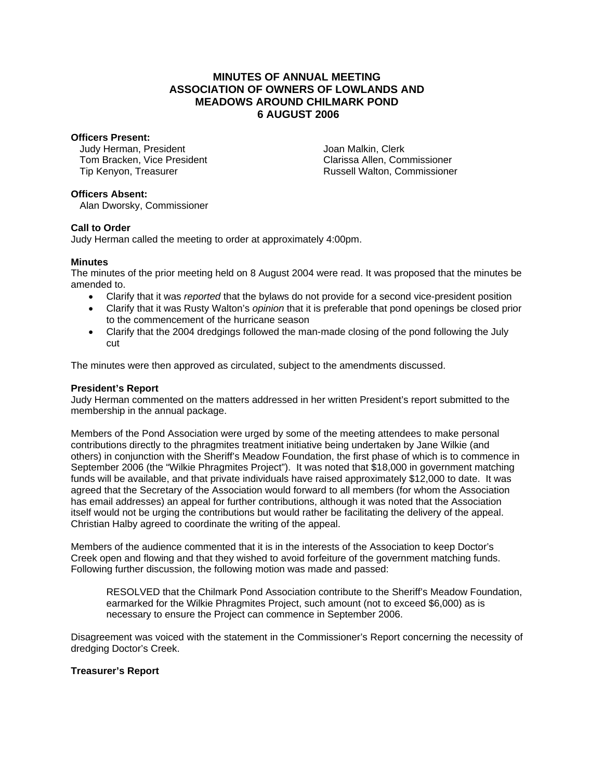# **MINUTES OF ANNUAL MEETING ASSOCIATION OF OWNERS OF LOWLANDS AND MEADOWS AROUND CHILMARK POND 6 AUGUST 2006**

### **Officers Present:**

Judy Herman, President Tom Bracken, Vice President Tip Kenyon, Treasurer

Joan Malkin, Clerk Clarissa Allen, Commissioner Russell Walton, Commissioner

## **Officers Absent:**

Alan Dworsky, Commissioner

## **Call to Order**

Judy Herman called the meeting to order at approximately 4:00pm.

## **Minutes**

The minutes of the prior meeting held on 8 August 2004 were read. It was proposed that the minutes be amended to.

- Clarify that it was *reported* that the bylaws do not provide for a second vice-president position
- Clarify that it was Rusty Walton's *opinion* that it is preferable that pond openings be closed prior to the commencement of the hurricane season
- Clarify that the 2004 dredgings followed the man-made closing of the pond following the July cut

The minutes were then approved as circulated, subject to the amendments discussed.

### **President's Report**

Judy Herman commented on the matters addressed in her written President's report submitted to the membership in the annual package.

Members of the Pond Association were urged by some of the meeting attendees to make personal contributions directly to the phragmites treatment initiative being undertaken by Jane Wilkie (and others) in conjunction with the Sheriff's Meadow Foundation, the first phase of which is to commence in September 2006 (the "Wilkie Phragmites Project"). It was noted that \$18,000 in government matching funds will be available, and that private individuals have raised approximately \$12,000 to date. It was agreed that the Secretary of the Association would forward to all members (for whom the Association has email addresses) an appeal for further contributions, although it was noted that the Association itself would not be urging the contributions but would rather be facilitating the delivery of the appeal. Christian Halby agreed to coordinate the writing of the appeal.

Members of the audience commented that it is in the interests of the Association to keep Doctor's Creek open and flowing and that they wished to avoid forfeiture of the government matching funds. Following further discussion, the following motion was made and passed:

RESOLVED that the Chilmark Pond Association contribute to the Sheriff's Meadow Foundation, earmarked for the Wilkie Phragmites Project, such amount (not to exceed \$6,000) as is necessary to ensure the Project can commence in September 2006.

Disagreement was voiced with the statement in the Commissioner's Report concerning the necessity of dredging Doctor's Creek.

# **Treasurer's Report**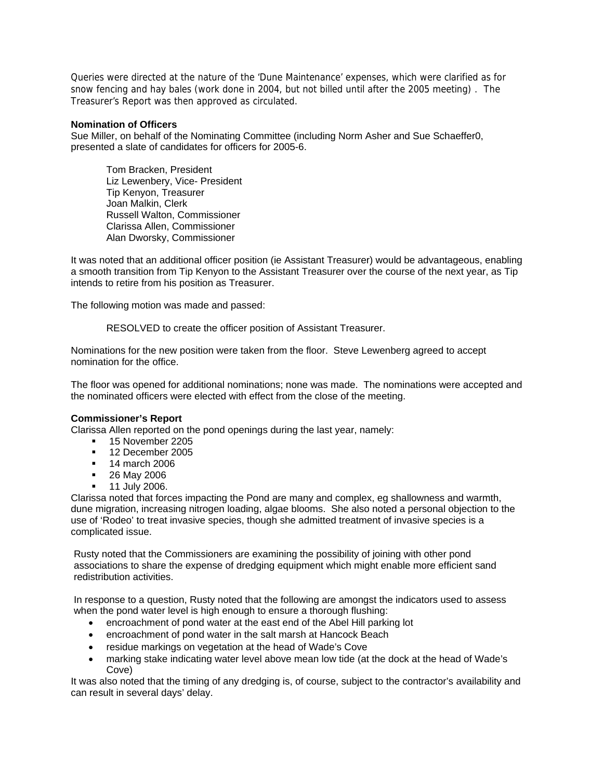Queries were directed at the nature of the 'Dune Maintenance' expenses, which were clarified as for snow fencing and hay bales (work done in 2004, but not billed until after the 2005 meeting) . The Treasurer's Report was then approved as circulated.

#### **Nomination of Officers**

Sue Miller, on behalf of the Nominating Committee (including Norm Asher and Sue Schaeffer0, presented a slate of candidates for officers for 2005-6.

Tom Bracken, President Liz Lewenbery, Vice- President Tip Kenyon, Treasurer Joan Malkin, Clerk Russell Walton, Commissioner Clarissa Allen, Commissioner Alan Dworsky, Commissioner

It was noted that an additional officer position (ie Assistant Treasurer) would be advantageous, enabling a smooth transition from Tip Kenyon to the Assistant Treasurer over the course of the next year, as Tip intends to retire from his position as Treasurer.

The following motion was made and passed:

RESOLVED to create the officer position of Assistant Treasurer.

Nominations for the new position were taken from the floor. Steve Lewenberg agreed to accept nomination for the office.

The floor was opened for additional nominations; none was made. The nominations were accepted and the nominated officers were elected with effect from the close of the meeting.

#### **Commissioner's Report**

Clarissa Allen reported on the pond openings during the last year, namely:

- <sup>1</sup> 15 November 2205
- <sup>12</sup> December 2005
- **14 march 2006**
- **26 May 2006**
- **11 July 2006.**

Clarissa noted that forces impacting the Pond are many and complex, eg shallowness and warmth, dune migration, increasing nitrogen loading, algae blooms. She also noted a personal objection to the use of 'Rodeo' to treat invasive species, though she admitted treatment of invasive species is a complicated issue.

Rusty noted that the Commissioners are examining the possibility of joining with other pond associations to share the expense of dredging equipment which might enable more efficient sand redistribution activities.

In response to a question, Rusty noted that the following are amongst the indicators used to assess when the pond water level is high enough to ensure a thorough flushing:

- encroachment of pond water at the east end of the Abel Hill parking lot
- encroachment of pond water in the salt marsh at Hancock Beach
- residue markings on vegetation at the head of Wade's Cove
- marking stake indicating water level above mean low tide (at the dock at the head of Wade's Cove)

It was also noted that the timing of any dredging is, of course, subject to the contractor's availability and can result in several days' delay.